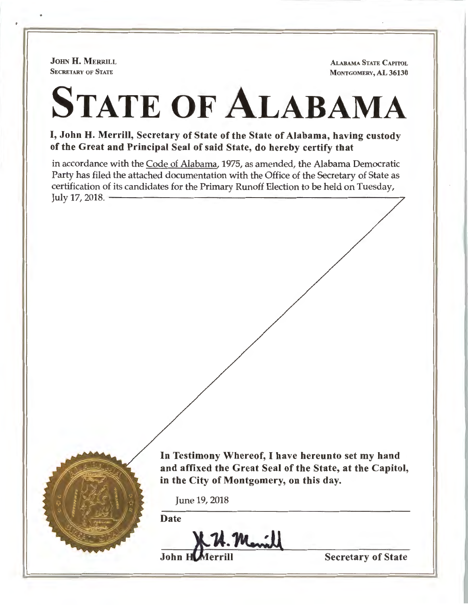JOHN **H.** MERRILL **SECRETARY OF STATE** 

**ALABAMA STATE CAPITOL MONTGOMERY, AL 36130** 

## STATE OF **ALABAMA**

I, **John H. Merrill, Secretary of State of the State of Alabama, having custody of the Great and Principal Seal of said State, do hereby certify that** 

in accordance with the Code of Alabama, 1975, as amended, the Alabama Democratic Party has filed the attached documentation with the Office of the Secretary of State as rary has mea the attached documentation with the Office of the Secretary of State as<br>certification of its candidates for the Primary Runoff Election to be held on Tuesday,<br>



**In Testimony Whereof,** I **have hereunto set my hand and affixed the Great Seal of the State, at the Capitol, in the City of Montgomery, on this day.** 

June 19, 2018

Date

. U. Mariel

**Secretary of State**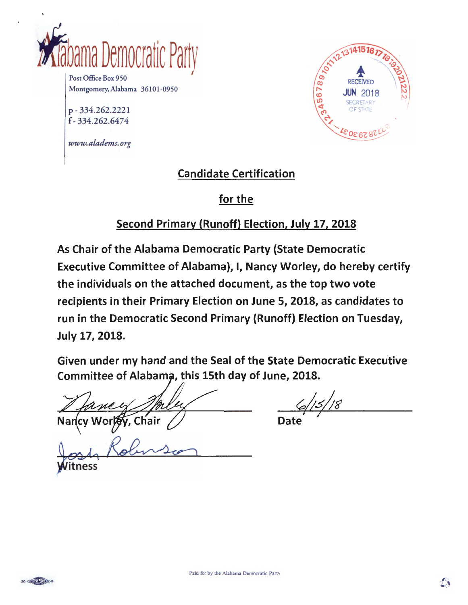

Post Office Box 950 Montgomery,AJabama 36101-0950

p - 334.262.2221 f- 334.262.6474

*www.aladems.org* 



## Candidate Certification

## for the

## Second Primary (Runoff) Election, July 17, 2018

As Chair of the Alabama Democratic Party {State Democratic Executive Committee of Alabama), I, Nancy Worley, do hereby certify the individuals on the attached document, as the top two vote recipients in their Primary Election on June 5, 2018, as candidates to run in the Democratic Second Primary (Runoff) Election on Tuesday, July 17, 2018.

Given under my hand and the Seal of the State Democratic Executive Committee of Alabama, this 15th day of June, 2018.

*I* 

Chair

tness

15/18

Date

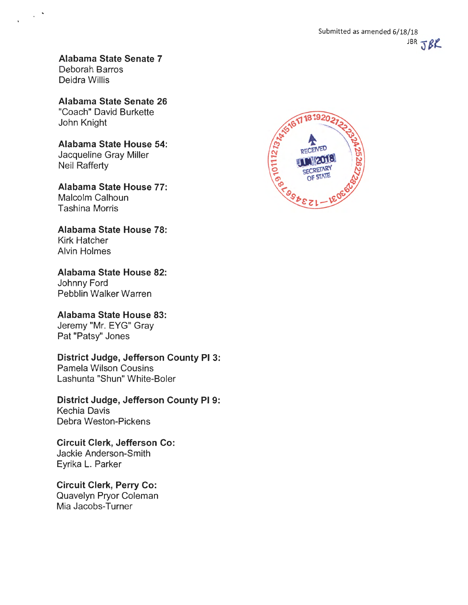**Alabama State Senate 7**  Deborah Barros Deidra Willis

**Alabama State Senate 26**  "Coach" David Burkette John Knight

**Alabama State House 54:**  Jacqueline Gray Miller Neil Rafferty

**Alabama State House 77:**  Malcolm Calhoun Tashina Morris

**Alabama State House 78:**  Kirk Hatcher Alvin Holmes

**Alabama State House 82:**  Johnny Ford Pebblin Walker Warren

**Alabama State House 83:**  Jeremy "Mr. EYG" Gray Pat "Patsy" Jones

**District Judge, Jefferson County Pl 3:**  Pamela Wilson Cousins

Lashunta "Shun" White-Boler

**District Judge, Jefferson County Pl 9:**  Kechia Davis Debra Weston-Pickens

**Circuit Clerk, Jefferson Co:**  Jackie Anderson-Smith Eyrika L. Parker

**Circuit Clerk, Perry Co:**  Quavelyn Pryor Coleman Mia Jacobs-Turner